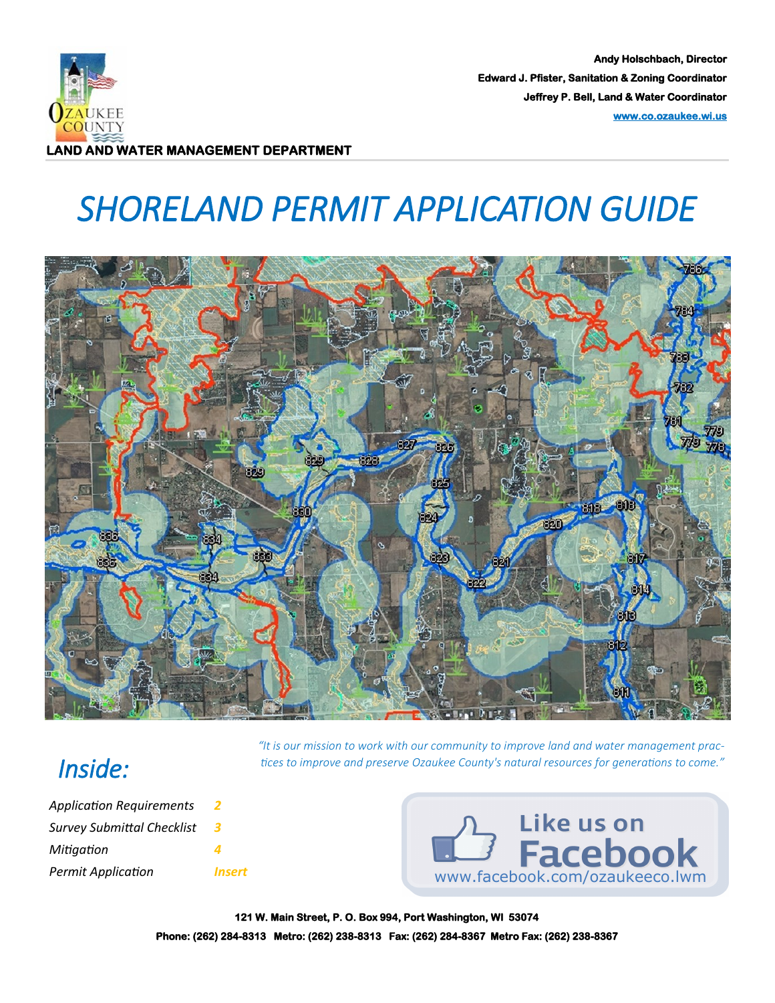

**Andy Holschbach, Director Edward J. Pfister, Sanitation & Zoning Coordinator Jeffrey P. Bell, Land & Water Coordinator [www.co.ozaukee.wi.us](http://www.co.ozaukee.wi.us/)** 

# *SHORELAND PERMIT APPLICATION GUIDE*



*"It is our mission to work with our community to improve land and water management practices to improve and preserve Ozaukee County's natural resources for generations to come."*

### *Inside:*

| <b>Permit Application</b>         | <i><b>Insert</b></i> |
|-----------------------------------|----------------------|
| Mitigation                        |                      |
| <b>Survey Submittal Checklist</b> | 3                    |
| <b>Application Requirements</b>   |                      |



**121 W. Main Street, P. O. Box 994, Port Washington, WI 53074 Phone: (262) 284-8313 Metro: (262) 238-8313 Fax: (262) 284-8367 Metro Fax: (262) 238-8367**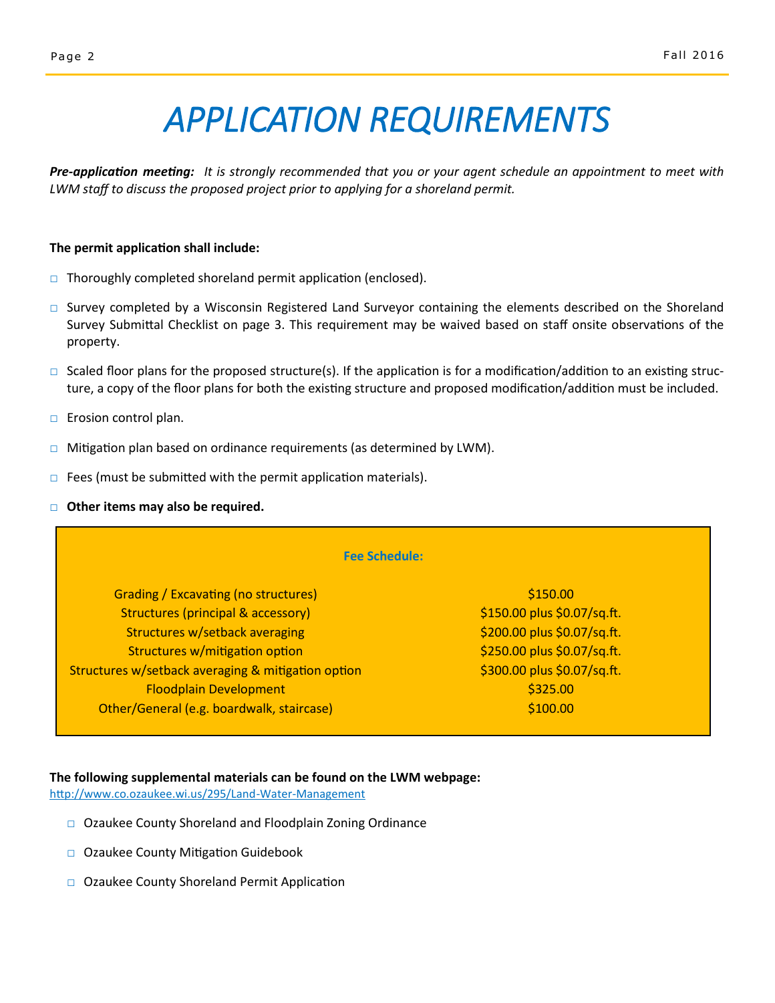## *APPLICATION REQUIREMENTS*

*Pre-application meeting: It is strongly recommended that you or your agent schedule an appointment to meet with LWM staff to discuss the proposed project prior to applying for a shoreland permit.*

#### **The permit application shall include:**

- □ Thoroughly completed shoreland permit application (enclosed).
- □ Survey completed by a Wisconsin Registered Land Surveyor containing the elements described on the Shoreland Survey Submittal Checklist on page 3. This requirement may be waived based on staff onsite observations of the property.
- $\square$  Scaled floor plans for the proposed structure(s). If the application is for a modification/addition to an existing structure, a copy of the floor plans for both the existing structure and proposed modification/addition must be included.
- □ Erosion control plan.
- $\Box$  Mitigation plan based on ordinance requirements (as determined by LWM).
- $\Box$  Fees (must be submitted with the permit application materials).
- □ **Other items may also be required.**

| <b>Fee Schedule:</b>                               |                             |  |
|----------------------------------------------------|-----------------------------|--|
| <b>Grading / Excavating (no structures)</b>        | \$150.00                    |  |
| Structures (principal & accessory)                 | \$150.00 plus \$0.07/sq.ft. |  |
| Structures w/setback averaging                     | \$200.00 plus \$0.07/sq.ft. |  |
| Structures w/mitigation option                     | \$250.00 plus \$0.07/sq.ft. |  |
| Structures w/setback averaging & mitigation option | \$300.00 plus \$0.07/sq.ft. |  |
| <b>Floodplain Development</b>                      | \$325.00                    |  |
| Other/General (e.g. boardwalk, staircase)          | \$100.00                    |  |

#### **The following supplemental materials can be found on the LWM webpage:**

[http://www.co.ozaukee.wi.us/295/Land](http://www.co.ozaukee.wi.us/295/Land-Water-Management)-Water-Management

- □ Ozaukee County Shoreland and Floodplain Zoning Ordinance
- □ Ozaukee County Mitigation Guidebook
- □ Ozaukee County Shoreland Permit Application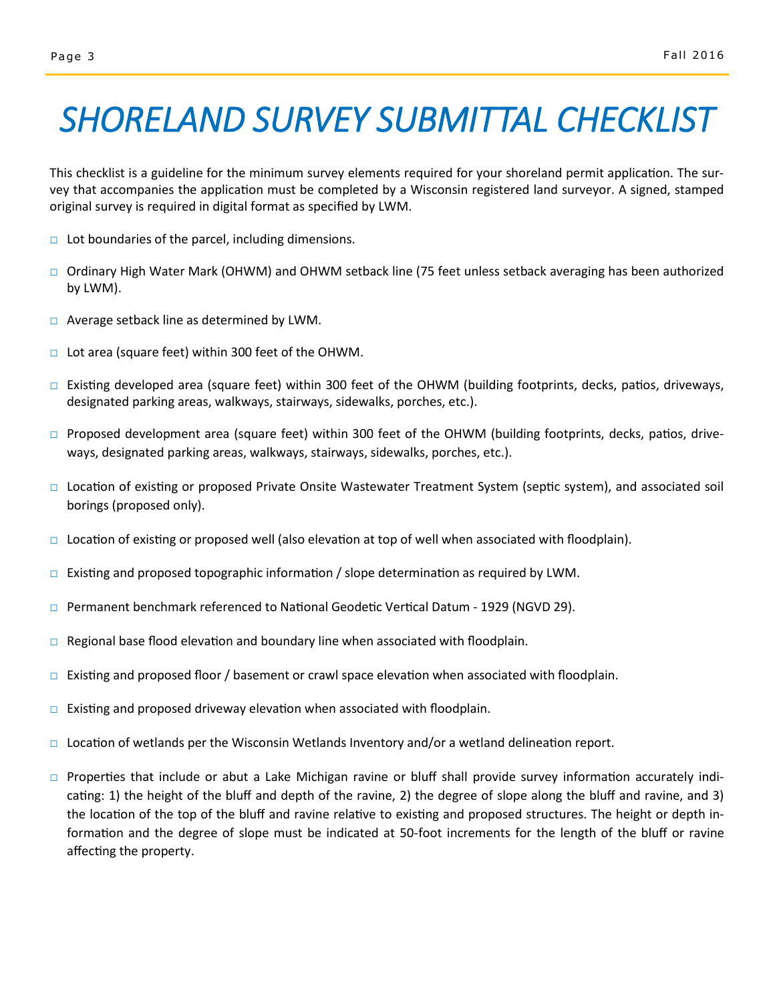## *SHORELAND SURVEY SUBMITTAL CHECKLIST*

This checklist is a guideline for the minimum survey elements required for your shoreland permit application. The survey that accompanies the application must be completed by a Wisconsin registered land surveyor. A signed, stamped original survey is required in digital format as specified by LWM.

- $\Box$  Lot boundaries of the parcel, including dimensions.
- **□** Ordinary High Water Mark (OHWM) and OHWM setback line (75 feet unless setback averaging has been authorized by LWM).
- $\Box$  Average setback line as determined by LWM.
- □ Lot area (square feet) within 300 feet of the OHWM.
- □ Existing developed area (square feet) within 300 feet of the OHWM (building footprints, decks, patios, driveways, designated parking areas, walkways, stairways, sidewalks, porches, etc.).
- □ Proposed development area (square feet) within 300 feet of the OHWM (building footprints, decks, patios, driveways, designated parking areas, walkways, stairways, sidewalks, porches, etc.).
- □ Location of existing or proposed Private Onsite Wastewater Treatment System (septic system), and associated soil borings (proposed only).
- $\Box$  Location of existing or proposed well (also elevation at top of well when associated with floodplain).
- $\Box$  Existing and proposed topographic information / slope determination as required by LWM.
- □ Permanent benchmark referenced to National Geodetic Vertical Datum 1929 (NGVD 29).
- $\square$  Regional base flood elevation and boundary line when associated with floodplain.
- $\Box$  Existing and proposed floor / basement or crawl space elevation when associated with floodplain.
- $\Box$  Existing and proposed driveway elevation when associated with floodplain.
- $\Box$  Location of wetlands per the Wisconsin Wetlands Inventory and/or a wetland delineation report.
- □ Properties that include or abut a Lake Michigan ravine or bluff shall provide survey information accurately indicating: 1) the height of the bluff and depth of the ravine, 2) the degree of slope along the bluff and ravine, and 3) the location of the top of the bluff and ravine relative to existing and proposed structures. The height or depth information and the degree of slope must be indicated at 50-foot increments for the length of the bluff or ravine affecting the property.